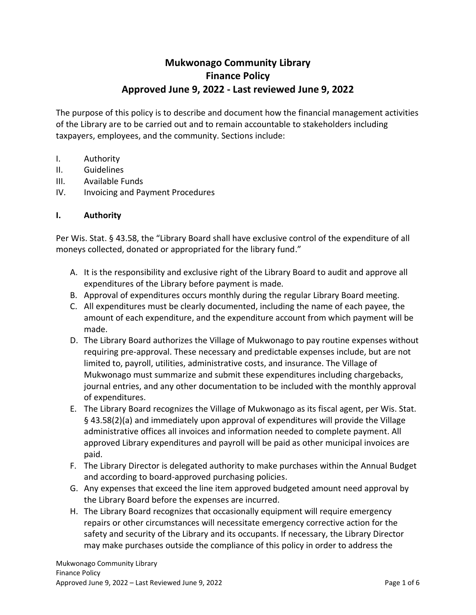# **Mukwonago Community Library Finance Policy Approved June 9, 2022 - Last reviewed June 9, 2022**

The purpose of this policy is to describe and document how the financial management activities of the Library are to be carried out and to remain accountable to stakeholders including taxpayers, employees, and the community. Sections include:

- I. Authority
- II. Guidelines
- III. Available Funds
- IV. Invoicing and Payment Procedures

#### **I. Authority**

Per Wis. Stat. § 43.58, the "Library Board shall have exclusive control of the expenditure of all moneys collected, donated or appropriated for the library fund."

- A. It is the responsibility and exclusive right of the Library Board to audit and approve all expenditures of the Library before payment is made.
- B. Approval of expenditures occurs monthly during the regular Library Board meeting.
- C. All expenditures must be clearly documented, including the name of each payee, the amount of each expenditure, and the expenditure account from which payment will be made.
- D. The Library Board authorizes the Village of Mukwonago to pay routine expenses without requiring pre-approval. These necessary and predictable expenses include, but are not limited to, payroll, utilities, administrative costs, and insurance. The Village of Mukwonago must summarize and submit these expenditures including chargebacks, journal entries, and any other documentation to be included with the monthly approval of expenditures.
- E. The Library Board recognizes the Village of Mukwonago as its fiscal agent, per Wis. Stat. § 43.58(2)(a) and immediately upon approval of expenditures will provide the Village administrative offices all invoices and information needed to complete payment. All approved Library expenditures and payroll will be paid as other municipal invoices are paid.
- F. The Library Director is delegated authority to make purchases within the Annual Budget and according to board-approved purchasing policies.
- G. Any expenses that exceed the line item approved budgeted amount need approval by the Library Board before the expenses are incurred.
- H. The Library Board recognizes that occasionally equipment will require emergency repairs or other circumstances will necessitate emergency corrective action for the safety and security of the Library and its occupants. If necessary, the Library Director may make purchases outside the compliance of this policy in order to address the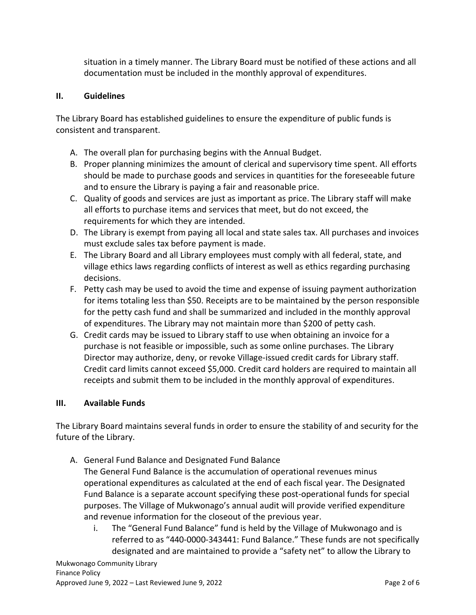situation in a timely manner. The Library Board must be notified of these actions and all documentation must be included in the monthly approval of expenditures.

### **II. Guidelines**

The Library Board has established guidelines to ensure the expenditure of public funds is consistent and transparent.

- A. The overall plan for purchasing begins with the Annual Budget.
- B. Proper planning minimizes the amount of clerical and supervisory time spent. All efforts should be made to purchase goods and services in quantities for the foreseeable future and to ensure the Library is paying a fair and reasonable price.
- C. Quality of goods and services are just as important as price. The Library staff will make all efforts to purchase items and services that meet, but do not exceed, the requirements for which they are intended.
- D. The Library is exempt from paying all local and state sales tax. All purchases and invoices must exclude sales tax before payment is made.
- E. The Library Board and all Library employees must comply with all federal, state, and village ethics laws regarding conflicts of interest as well as ethics regarding purchasing decisions.
- F. Petty cash may be used to avoid the time and expense of issuing payment authorization for items totaling less than \$50. Receipts are to be maintained by the person responsible for the petty cash fund and shall be summarized and included in the monthly approval of expenditures. The Library may not maintain more than \$200 of petty cash.
- G. Credit cards may be issued to Library staff to use when obtaining an invoice for a purchase is not feasible or impossible, such as some online purchases. The Library Director may authorize, deny, or revoke Village-issued credit cards for Library staff. Credit card limits cannot exceed \$5,000. Credit card holders are required to maintain all receipts and submit them to be included in the monthly approval of expenditures.

#### **III. Available Funds**

The Library Board maintains several funds in order to ensure the stability of and security for the future of the Library.

A. General Fund Balance and Designated Fund Balance

The General Fund Balance is the accumulation of operational revenues minus operational expenditures as calculated at the end of each fiscal year. The Designated Fund Balance is a separate account specifying these post-operational funds for special purposes. The Village of Mukwonago's annual audit will provide verified expenditure and revenue information for the closeout of the previous year.

i. The "General Fund Balance" fund is held by the Village of Mukwonago and is referred to as "440-0000-343441: Fund Balance." These funds are not specifically designated and are maintained to provide a "safety net" to allow the Library to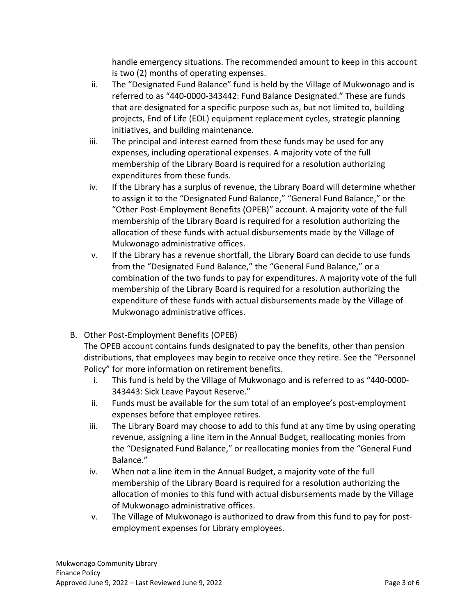handle emergency situations. The recommended amount to keep in this account is two (2) months of operating expenses.

- ii. The "Designated Fund Balance" fund is held by the Village of Mukwonago and is referred to as "440-0000-343442: Fund Balance Designated." These are funds that are designated for a specific purpose such as, but not limited to, building projects, End of Life (EOL) equipment replacement cycles, strategic planning initiatives, and building maintenance.
- iii. The principal and interest earned from these funds may be used for any expenses, including operational expenses. A majority vote of the full membership of the Library Board is required for a resolution authorizing expenditures from these funds.
- iv. If the Library has a surplus of revenue, the Library Board will determine whether to assign it to the "Designated Fund Balance," "General Fund Balance," or the "Other Post-Employment Benefits (OPEB)" account. A majority vote of the full membership of the Library Board is required for a resolution authorizing the allocation of these funds with actual disbursements made by the Village of Mukwonago administrative offices.
- v. If the Library has a revenue shortfall, the Library Board can decide to use funds from the "Designated Fund Balance," the "General Fund Balance," or a combination of the two funds to pay for expenditures. A majority vote of the full membership of the Library Board is required for a resolution authorizing the expenditure of these funds with actual disbursements made by the Village of Mukwonago administrative offices.
- B. Other Post-Employment Benefits (OPEB)

The OPEB account contains funds designated to pay the benefits, other than pension distributions, that employees may begin to receive once they retire. See the "Personnel Policy" for more information on retirement benefits.

- i. This fund is held by the Village of Mukwonago and is referred to as "440-0000- 343443: Sick Leave Payout Reserve."
- ii. Funds must be available for the sum total of an employee's post-employment expenses before that employee retires.
- iii. The Library Board may choose to add to this fund at any time by using operating revenue, assigning a line item in the Annual Budget, reallocating monies from the "Designated Fund Balance," or reallocating monies from the "General Fund Balance."
- iv. When not a line item in the Annual Budget, a majority vote of the full membership of the Library Board is required for a resolution authorizing the allocation of monies to this fund with actual disbursements made by the Village of Mukwonago administrative offices.
- v. The Village of Mukwonago is authorized to draw from this fund to pay for postemployment expenses for Library employees.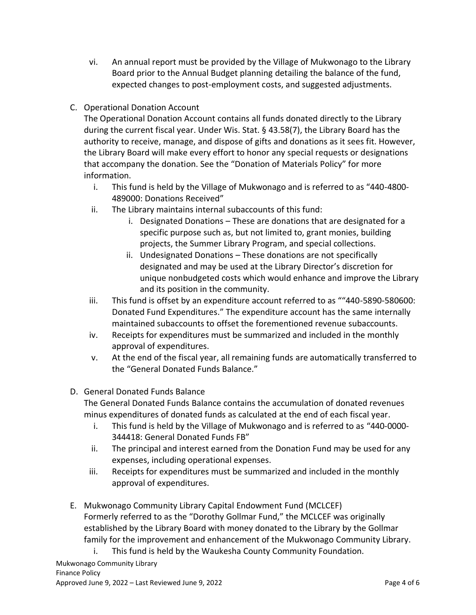- vi. An annual report must be provided by the Village of Mukwonago to the Library Board prior to the Annual Budget planning detailing the balance of the fund, expected changes to post-employment costs, and suggested adjustments.
- C. Operational Donation Account

The Operational Donation Account contains all funds donated directly to the Library during the current fiscal year. Under Wis. Stat. § 43.58(7), the Library Board has the authority to receive, manage, and dispose of gifts and donations as it sees fit. However, the Library Board will make every effort to honor any special requests or designations that accompany the donation. See the "Donation of Materials Policy" for more information.

- i. This fund is held by the Village of Mukwonago and is referred to as "440-4800- 489000: Donations Received"
- ii. The Library maintains internal subaccounts of this fund:
	- i. Designated Donations These are donations that are designated for a specific purpose such as, but not limited to, grant monies, building projects, the Summer Library Program, and special collections.
	- ii. Undesignated Donations These donations are not specifically designated and may be used at the Library Director's discretion for unique nonbudgeted costs which would enhance and improve the Library and its position in the community.
- iii. This fund is offset by an expenditure account referred to as ""440-5890-580600: Donated Fund Expenditures." The expenditure account has the same internally maintained subaccounts to offset the forementioned revenue subaccounts.
- iv. Receipts for expenditures must be summarized and included in the monthly approval of expenditures.
- v. At the end of the fiscal year, all remaining funds are automatically transferred to the "General Donated Funds Balance."
- D. General Donated Funds Balance

The General Donated Funds Balance contains the accumulation of donated revenues minus expenditures of donated funds as calculated at the end of each fiscal year.

- i. This fund is held by the Village of Mukwonago and is referred to as "440-0000- 344418: General Donated Funds FB"
- ii. The principal and interest earned from the Donation Fund may be used for any expenses, including operational expenses.
- iii. Receipts for expenditures must be summarized and included in the monthly approval of expenditures.
- E. Mukwonago Community Library Capital Endowment Fund (MCLCEF) Formerly referred to as the "Dorothy Gollmar Fund," the MCLCEF was originally established by the Library Board with money donated to the Library by the Gollmar family for the improvement and enhancement of the Mukwonago Community Library.
	- i. This fund is held by the Waukesha County Community Foundation.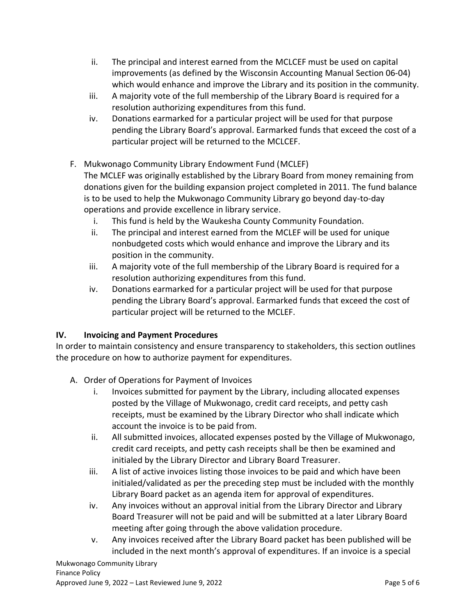- ii. The principal and interest earned from the MCLCEF must be used on capital improvements (as defined by the Wisconsin Accounting Manual Section 06-04) which would enhance and improve the Library and its position in the community.
- iii. A majority vote of the full membership of the Library Board is required for a resolution authorizing expenditures from this fund.
- iv. Donations earmarked for a particular project will be used for that purpose pending the Library Board's approval. Earmarked funds that exceed the cost of a particular project will be returned to the MCLCEF.

# F. Mukwonago Community Library Endowment Fund (MCLEF)

The MCLEF was originally established by the Library Board from money remaining from donations given for the building expansion project completed in 2011. The fund balance is to be used to help the Mukwonago Community Library go beyond day-to-day operations and provide excellence in library service.

- i. This fund is held by the Waukesha County Community Foundation.
- ii. The principal and interest earned from the MCLEF will be used for unique nonbudgeted costs which would enhance and improve the Library and its position in the community.
- iii. A majority vote of the full membership of the Library Board is required for a resolution authorizing expenditures from this fund.
- iv. Donations earmarked for a particular project will be used for that purpose pending the Library Board's approval. Earmarked funds that exceed the cost of particular project will be returned to the MCLEF.

## **IV. Invoicing and Payment Procedures**

In order to maintain consistency and ensure transparency to stakeholders, this section outlines the procedure on how to authorize payment for expenditures.

- A. Order of Operations for Payment of Invoices
	- i. Invoices submitted for payment by the Library, including allocated expenses posted by the Village of Mukwonago, credit card receipts, and petty cash receipts, must be examined by the Library Director who shall indicate which account the invoice is to be paid from.
	- ii. All submitted invoices, allocated expenses posted by the Village of Mukwonago, credit card receipts, and petty cash receipts shall be then be examined and initialed by the Library Director and Library Board Treasurer.
	- iii. A list of active invoices listing those invoices to be paid and which have been initialed/validated as per the preceding step must be included with the monthly Library Board packet as an agenda item for approval of expenditures.
	- iv. Any invoices without an approval initial from the Library Director and Library Board Treasurer will not be paid and will be submitted at a later Library Board meeting after going through the above validation procedure.
	- v. Any invoices received after the Library Board packet has been published will be included in the next month's approval of expenditures. If an invoice is a special